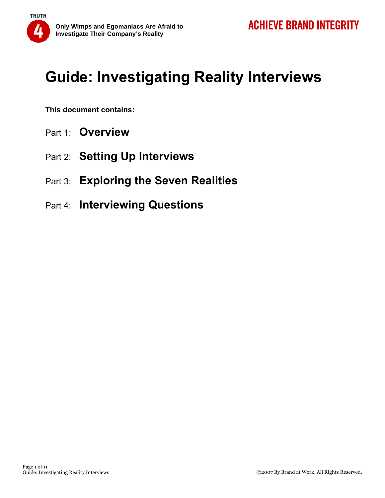

**This document contains:** 

- Part 1: **Overview**
- Part 2: **Setting Up Interviews**
- Part 3: **Exploring the Seven Realities**
- Part 4: **Interviewing Questions**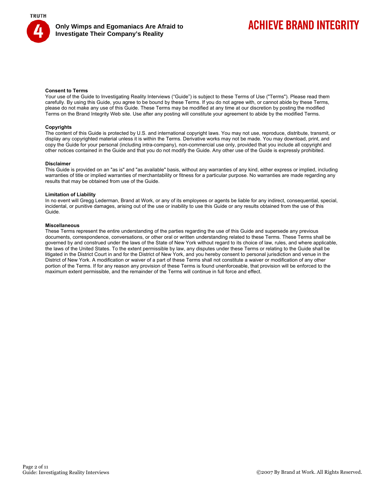



## **ACHIEVE BRAND INTEGRITY**

#### **Consent to Terms**

Your use of the Guide to Investigating Reality Interviews ("Guide") is subject to these Terms of Use ("Terms"). Please read them carefully. By using this Guide, you agree to be bound by these Terms. If you do not agree with, or cannot abide by these Terms, please do not make any use of this Guide. These Terms may be modified at any time at our discretion by posting the modified Terms on the Brand Integrity Web site. Use after any posting will constitute your agreement to abide by the modified Terms.

#### **Copyrights**

The content of this Guide is protected by U.S. and international copyright laws. You may not use, reproduce, distribute, transmit, or display any copyrighted material unless it is within the Terms. Derivative works may not be made. You may download, print, and copy the Guide for your personal (including intra-company), non-commercial use only, provided that you include all copyright and other notices contained in the Guide and that you do not modify the Guide. Any other use of the Guide is expressly prohibited.

#### **Disclaimer**

This Guide is provided on an "as is" and "as available" basis, without any warranties of any kind, either express or implied, including warranties of title or implied warranties of merchantability or fitness for a particular purpose. No warranties are made regarding any results that may be obtained from use of the Guide.

#### **Limitation of Liability**

In no event will Gregg Lederman, Brand at Work, or any of its employees or agents be liable for any indirect, consequential, special, incidental, or punitive damages, arising out of the use or inability to use this Guide or any results obtained from the use of this Guide.

#### **Miscellaneous**

These Terms represent the entire understanding of the parties regarding the use of this Guide and supersede any previous documents, correspondence, conversations, or other oral or written understanding related to these Terms. These Terms shall be governed by and construed under the laws of the State of New York without regard to its choice of law, rules, and where applicable, the laws of the United States. To the extent permissible by law, any disputes under these Terms or relating to the Guide shall be litigated in the District Court in and for the District of New York, and you hereby consent to personal jurisdiction and venue in the District of New York. A modification or waiver of a part of these Terms shall not constitute a waiver or modification of any other portion of the Terms. If for any reason any provision of these Terms is found unenforceable, that provision will be enforced to the maximum extent permissible, and the remainder of the Terms will continue in full force and effect.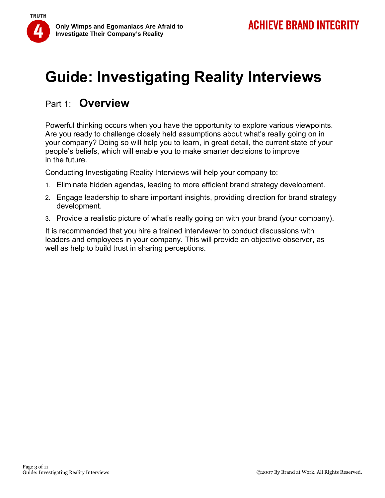

## Part 1: **Overview**

Powerful thinking occurs when you have the opportunity to explore various viewpoints. Are you ready to challenge closely held assumptions about what's really going on in your company? Doing so will help you to learn, in great detail, the current state of your people's beliefs, which will enable you to make smarter decisions to improve in the future.

Conducting Investigating Reality Interviews will help your company to:

- 1. Eliminate hidden agendas, leading to more efficient brand strategy development.
- 2. Engage leadership to share important insights, providing direction for brand strategy development.
- 3. Provide a realistic picture of what's really going on with your brand (your company).

It is recommended that you hire a trained interviewer to conduct discussions with leaders and employees in your company. This will provide an objective observer, as well as help to build trust in sharing perceptions.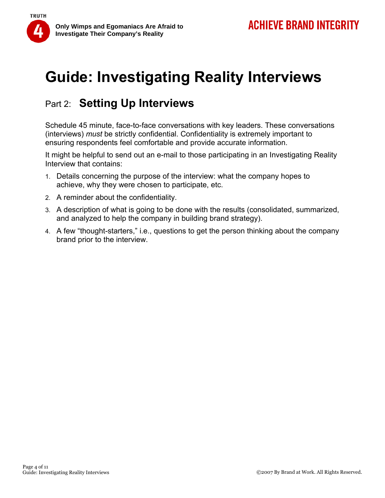

## Part 2: **Setting Up Interviews**

Schedule 45 minute, face-to-face conversations with key leaders. These conversations (interviews) *must* be strictly confidential. Confidentiality is extremely important to ensuring respondents feel comfortable and provide accurate information.

It might be helpful to send out an e-mail to those participating in an Investigating Reality Interview that contains:

- 1. Details concerning the purpose of the interview: what the company hopes to achieve, why they were chosen to participate, etc.
- 2. A reminder about the confidentiality.
- 3. A description of what is going to be done with the results (consolidated, summarized, and analyzed to help the company in building brand strategy).
- 4. A few "thought-starters," i.e., questions to get the person thinking about the company brand prior to the interview.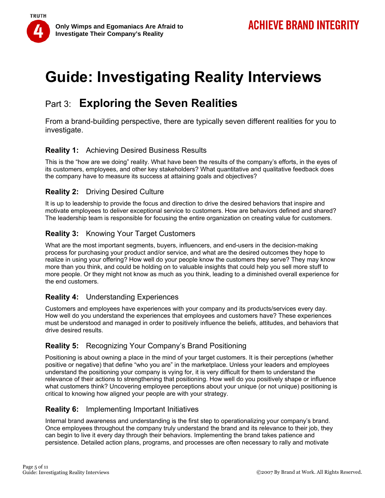

## Part 3: **Exploring the Seven Realities**

From a brand-building perspective, there are typically seven different realities for you to investigate.

### **Reality 1:** Achieving Desired Business Results

This is the "how are we doing" reality. What have been the results of the company's efforts, in the eyes of its customers, employees, and other key stakeholders? What quantitative and qualitative feedback does the company have to measure its success at attaining goals and objectives?

### **Reality 2:** Driving Desired Culture

It is up to leadership to provide the focus and direction to drive the desired behaviors that inspire and motivate employees to deliver exceptional service to customers. How are behaviors defined and shared? The leadership team is responsible for focusing the entire organization on creating value for customers.

### **Reality 3:** Knowing Your Target Customers

What are the most important segments, buyers, influencers, and end-users in the decision-making process for purchasing your product and/or service, and what are the desired outcomes they hope to realize in using your offering? How well do your people know the customers they serve? They may know more than you think, and could be holding on to valuable insights that could help you sell more stuff to more people. Or they might not know as much as you think, leading to a diminished overall experience for the end customers.

### **Reality 4:** Understanding Experiences

Customers and employees have experiences with your company and its products/services every day. How well do you understand the experiences that employees and customers have? These experiences must be understood and managed in order to positively influence the beliefs, attitudes, and behaviors that drive desired results.

### **Reality 5:** Recognizing Your Company's Brand Positioning

Positioning is about owning a place in the mind of your target customers. It is their perceptions (whether positive or negative) that define "who you are" in the marketplace. Unless your leaders and employees understand the positioning your company is vying for, it is very difficult for them to understand the relevance of their actions to strengthening that positioning. How well do you positively shape or influence what customers think? Uncovering employee perceptions about your unique (or not unique) positioning is critical to knowing how aligned your people are with your strategy.

### **Reality 6:** Implementing Important Initiatives

Internal brand awareness and understanding is the first step to operationalizing your company's brand. Once employees throughout the company truly understand the brand and its relevance to their job, they can begin to live it every day through their behaviors. Implementing the brand takes patience and persistence. Detailed action plans, programs, and processes are often necessary to rally and motivate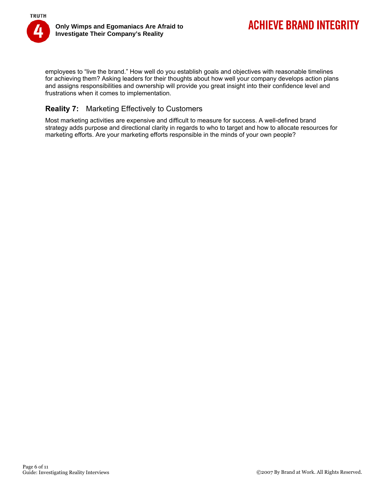

employees to "live the brand." How well do you establish goals and objectives with reasonable timelines for achieving them? Asking leaders for their thoughts about how well your company develops action plans and assigns responsibilities and ownership will provide you great insight into their confidence level and frustrations when it comes to implementation.

### **Reality 7:** Marketing Effectively to Customers

Most marketing activities are expensive and difficult to measure for success. A well-defined brand strategy adds purpose and directional clarity in regards to who to target and how to allocate resources for marketing efforts. Are your marketing efforts responsible in the minds of your own people?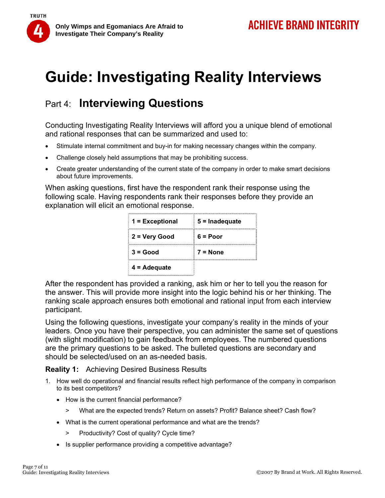

## Part 4: **Interviewing Questions**

Conducting Investigating Reality Interviews will afford you a unique blend of emotional and rational responses that can be summarized and used to:

- Stimulate internal commitment and buy-in for making necessary changes within the company.
- Challenge closely held assumptions that may be prohibiting success.
- Create greater understanding of the current state of the company in order to make smart decisions about future improvements.

When asking questions, first have the respondent rank their response using the following scale. Having respondents rank their responses before they provide an explanation will elicit an emotional response.

| 1 = Exceptional       | $5 =$ Inadequate |
|-----------------------|------------------|
| 2 = Very Good         | $6 = Poor$       |
| $3 = Good$            | $7 = None$       |
| $4 = \text{Adequate}$ |                  |

After the respondent has provided a ranking, ask him or her to tell you the reason for the answer. This will provide more insight into the logic behind his or her thinking. The ranking scale approach ensures both emotional and rational input from each interview participant.

Using the following questions, investigate your company's reality in the minds of your leaders. Once you have their perspective, you can administer the same set of questions (with slight modification) to gain feedback from employees. The numbered questions are the primary questions to be asked. The bulleted questions are secondary and should be selected/used on an as-needed basis.

**Reality 1:** Achieving Desired Business Results

- 1. How well do operational and financial results reflect high performance of the company in comparison to its best competitors?
	- How is the current financial performance?
		- > What are the expected trends? Return on assets? Profit? Balance sheet? Cash flow?
	- What is the current operational performance and what are the trends?
		- > Productivity? Cost of quality? Cycle time?
	- Is supplier performance providing a competitive advantage?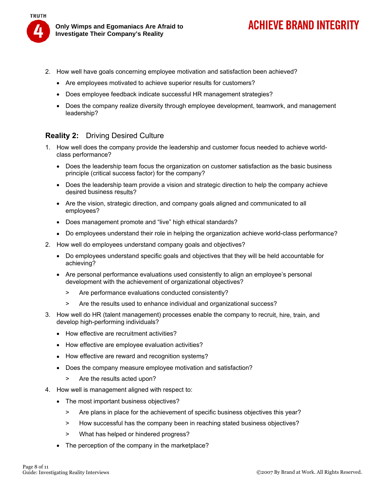

**Only Wimps and Egomaniacs Are Afraid to Investigate Their Company's Reality** 

## **ACHIEVE BRAND INTEGRITY**

- 2. How well have goals concerning employee motivation and satisfaction been achieved?
	- Are employees motivated to achieve superior results for customers?
	- Does employee feedback indicate successful HR management strategies?
	- Does the company realize diversity through employee development, teamwork, and management leadership?

### **Reality 2:** Driving Desired Culture

- 1. How well does the company provide the leadership and customer focus needed to achieve worldclass performance?
	- Does the leadership team focus the organization on customer satisfaction as the basic business principle (critical success factor) for the company?
	- Does the leadership team provide a vision and strategic direction to help the company achieve desired business results?
	- Are the vision, strategic direction, and company goals aligned and communicated to all employees?
	- Does management promote and "live" high ethical standards?
	- Do employees understand their role in helping the organization achieve world-class performance?
- 2. How well do employees understand company goals and objectives?
	- Do employees understand specific goals and objectives that they will be held accountable for achieving?
	- Are personal performance evaluations used consistently to align an employee's personal development with the achievement of organizational objectives?
		- > Are performance evaluations conducted consistently?
		- > Are the results used to enhance individual and organizational success?
- 3. How well do HR (talent management) processes enable the company to recruit, hire, train, and develop high-performing individuals?
	- How effective are recruitment activities?
	- How effective are employee evaluation activities?
	- How effective are reward and recognition systems?
	- Does the company measure employee motivation and satisfaction?
		- > Are the results acted upon?
- 4. How well is management aligned with respect to:
	- The most important business objectives?
		- > Are plans in place for the achievement of specific business objectives this year?
		- > How successful has the company been in reaching stated business objectives?
		- > What has helped or hindered progress?
	- The perception of the company in the marketplace?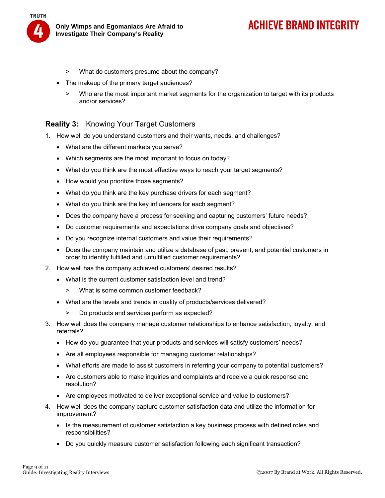

## **ACHIEVE BRAND INTEGRITY**

- > What do customers presume about the company?
- The makeup of the primary target audiences?
	- > Who are the most important market segments for the organization to target with its products and/or services?

#### **Reality 3:** Knowing Your Target Customers

- 1. How well do you understand customers and their wants, needs, and challenges?
	- What are the different markets you serve?
	- Which segments are the most important to focus on today?
	- What do you think are the most effective ways to reach your target segments?
	- How would you prioritize those segments?
	- What do you think are the key purchase drivers for each segment?
	- What do you think are the key influencers for each segment?
	- Does the company have a process for seeking and capturing customers' future needs?
	- Do customer requirements and expectations drive company goals and objectives?
	- Do you recognize internal customers and value their requirements?
	- Does the company maintain and utilize a database of past, present, and potential customers in order to identify fulfilled and unfulfilled customer requirements?
- 2. How well has the company achieved customers' desired results?
	- What is the current customer satisfaction level and trend?
		- > What is some common customer feedback?
	- What are the levels and trends in quality of products/services delivered?
		- > Do products and services perform as expected?
- 3. How well does the company manage customer relationships to enhance satisfaction, loyalty, and referrals?
	- How do you guarantee that your products and services will satisfy customers' needs?
	- Are all employees responsible for managing customer relationships?
	- What efforts are made to assist customers in referring your company to potential customers?
	- Are customers able to make inquiries and complaints and receive a quick response and resolution?
	- Are employees motivated to deliver exceptional service and value to customers?
- 4. How well does the company capture customer satisfaction data and utilize the information for improvement?
	- Is the measurement of customer satisfaction a key business process with defined roles and responsibilities?
	- Do you quickly measure customer satisfaction following each significant transaction?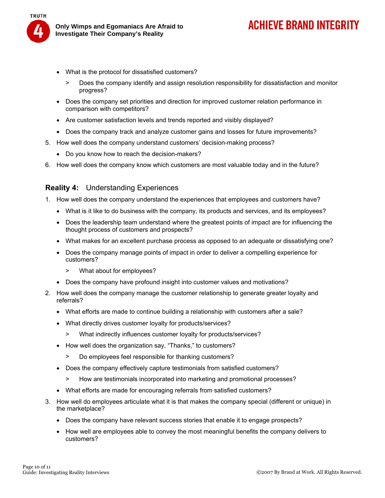

- What is the protocol for dissatisfied customers?
	- > Does the company identify and assign resolution responsibility for dissatisfaction and monitor progress?
- Does the company set priorities and direction for improved customer relation performance in comparison with competitors?
- Are customer satisfaction levels and trends reported and visibly displayed?
- Does the company track and analyze customer gains and losses for future improvements?
- 5. How well does the company understand customers' decision-making process?
	- Do you know how to reach the decision-makers?
- 6. How well does the company know which customers are most valuable today and in the future?

#### **Reality 4:** Understanding Experiences

- 1. How well does the company understand the experiences that employees and customers have?
	- What is it like to do business with the company, its products and services, and its employees?
	- Does the leadership team understand where the greatest points of impact are for influencing the thought process of customers and prospects?
	- What makes for an excellent purchase process as opposed to an adequate or dissatisfying one?
	- Does the company manage points of impact in order to deliver a compelling experience for customers?
		- > What about for employees?
	- Does the company have profound insight into customer values and motivations?
- 2. How well does the company manage the customer relationship to generate greater loyalty and referrals?
	- What efforts are made to continue building a relationship with customers after a sale?
	- What directly drives customer loyalty for products/services?
		- > What indirectly influences customer loyalty for products/services?
	- How well does the organization say, "Thanks," to customers?
		- > Do employees feel responsible for thanking customers?
	- Does the company effectively capture testimonials from satisfied customers?
		- > How are testimonials incorporated into marketing and promotional processes?
	- What efforts are made for encouraging referrals from satisfied customers?
- 3. How well do employees articulate what it is that makes the company special (different or unique) in the marketplace?
	- Does the company have relevant success stories that enable it to engage prospects?
	- How well are employees able to convey the most meaningful benefits the company delivers to customers?